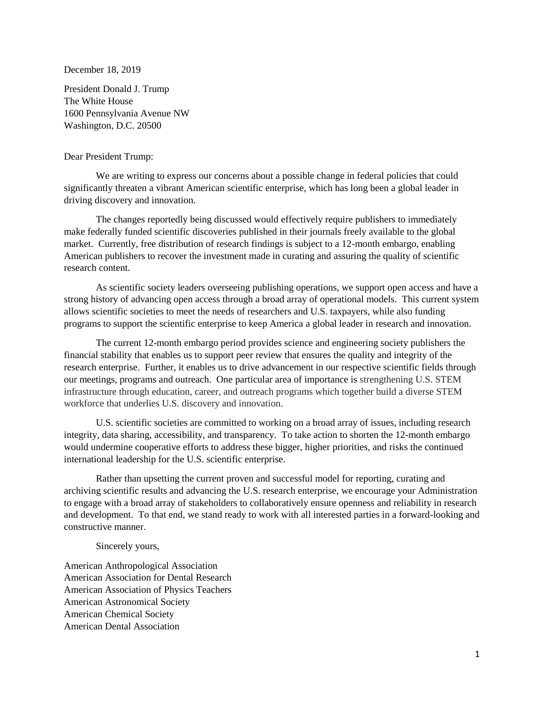December 18, 2019

President Donald J. Trump The White House 1600 Pennsylvania Avenue NW Washington, D.C. 20500

## Dear President Trump:

We are writing to express our concerns about a possible change in federal policies that could significantly threaten a vibrant American scientific enterprise, which has long been a global leader in driving discovery and innovation.

The changes reportedly being discussed would effectively require publishers to immediately make federally funded scientific discoveries published in their journals freely available to the global market. Currently, free distribution of research findings is subject to a 12-month embargo, enabling American publishers to recover the investment made in curating and assuring the quality of scientific research content.

As scientific society leaders overseeing publishing operations, we support open access and have a strong history of advancing open access through a broad array of operational models. This current system allows scientific societies to meet the needs of researchers and U.S. taxpayers, while also funding programs to support the scientific enterprise to keep America a global leader in research and innovation.

The current 12-month embargo period provides science and engineering society publishers the financial stability that enables us to support peer review that ensures the quality and integrity of the research enterprise. Further, it enables us to drive advancement in our respective scientific fields through our meetings, programs and outreach. One particular area of importance is strengthening U.S. STEM infrastructure through education, career, and outreach programs which together build a diverse STEM workforce that underlies U.S. discovery and innovation.

U.S. scientific societies are committed to working on a broad array of issues, including research integrity, data sharing, accessibility, and transparency. To take action to shorten the 12-month embargo would undermine cooperative efforts to address these bigger, higher priorities, and risks the continued international leadership for the U.S. scientific enterprise.

Rather than upsetting the current proven and successful model for reporting, curating and archiving scientific results and advancing the U.S. research enterprise, we encourage your Administration to engage with a broad array of stakeholders to collaboratively ensure openness and reliability in research and development. To that end, we stand ready to work with all interested parties in a forward-looking and constructive manner.

Sincerely yours,

American Anthropological Association American Association for Dental Research American Association of Physics Teachers American Astronomical Society American Chemical Society American Dental Association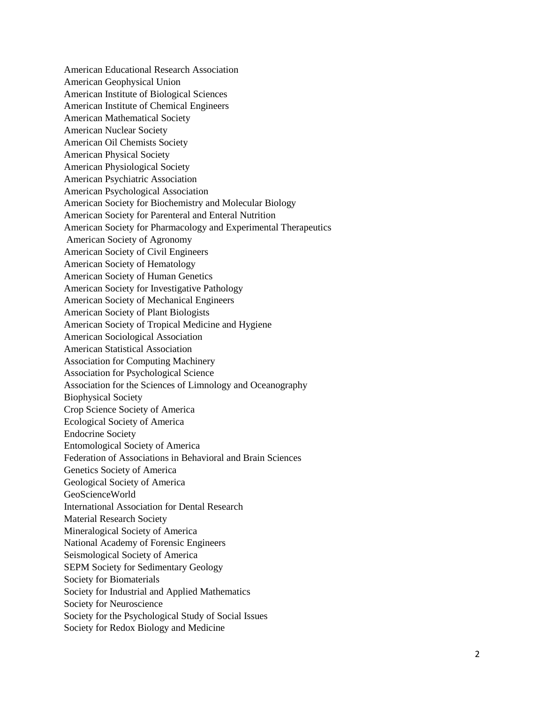American Educational Research Association American Geophysical Union American Institute of Biological Sciences American Institute of Chemical Engineers American Mathematical Society American Nuclear Society American Oil Chemists Society American Physical Society American Physiological Society American Psychiatric Association American Psychological Association American Society for Biochemistry and Molecular Biology American Society for Parenteral and Enteral Nutrition American Society for Pharmacology and Experimental Therapeutics American Society of Agronomy American Society of Civil Engineers American Society of Hematology American Society of Human Genetics American Society for Investigative Pathology American Society of Mechanical Engineers American Society of Plant Biologists American Society of Tropical Medicine and Hygiene American Sociological Association American Statistical Association Association for Computing Machinery Association for Psychological Science Association for the Sciences of Limnology and Oceanography Biophysical Society Crop Science Society of America Ecological Society of America Endocrine Society Entomological Society of America Federation of Associations in Behavioral and Brain Sciences Genetics Society of America Geological Society of America GeoScienceWorld International Association for Dental Research Material Research Society Mineralogical Society of America National Academy of Forensic Engineers Seismological Society of America SEPM Society for Sedimentary Geology Society for Biomaterials Society for Industrial and Applied Mathematics Society for Neuroscience Society for the Psychological Study of Social Issues Society for Redox Biology and Medicine